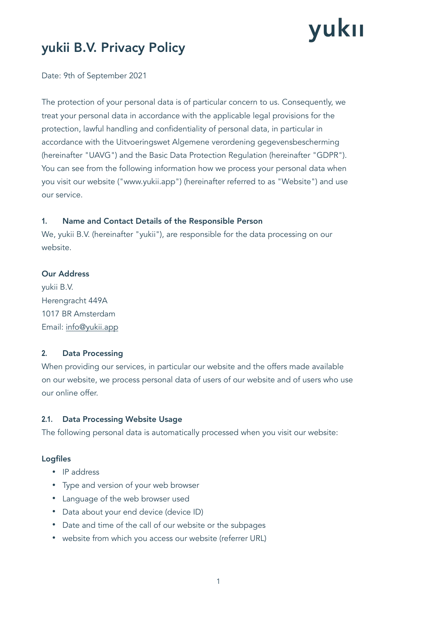# yukıı

## yukii B.V. Privacy Policy

Date: 9th of September 2021

The protection of your personal data is of particular concern to us. Consequently, we treat your personal data in accordance with the applicable legal provisions for the protection, lawful handling and confidentiality of personal data, in particular in accordance with the Uitvoeringswet Algemene verordening gegevensbescherming (hereinafter "UAVG") and the Basic Data Protection Regulation (hereinafter "GDPR"). You can see from the following information how we process your personal data when you visit our website ("www.yukii.app") (hereinafter referred to as "Website") and use our service.

## **1.** Name and Contact Details of the Responsible Person

We, yukii B.V. (hereinafter "yukii"), are responsible for the data processing on our website.

## Our Address

yukii B.V. Herengracht 449A 1017 BR Amsterdam Email: [info@yukii.app](mailto:info@yukii.app)

## **2.** Data Processing

When providing our services, in particular our website and the offers made available on our website, we process personal data of users of our website and of users who use our online offer.

## **2.1.** Data Processing Website Usage

The following personal data is automatically processed when you visit our website:

## Logfiles

- IP address
- Type and version of your web browser
- Language of the web browser used
- Data about your end device (device ID)
- Date and time of the call of our website or the subpages
- website from which you access our website (referrer URL)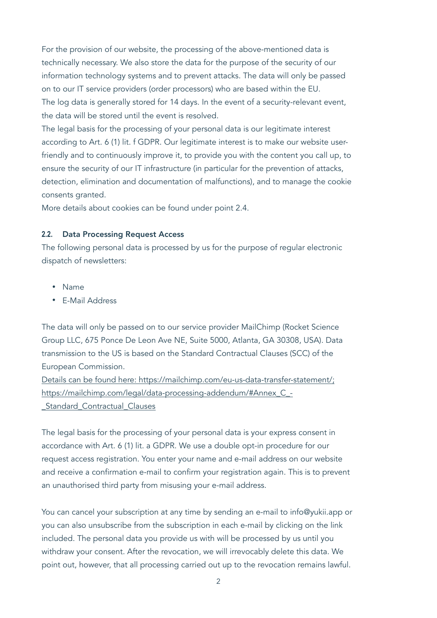For the provision of our website, the processing of the above-mentioned data is technically necessary. We also store the data for the purpose of the security of our information technology systems and to prevent attacks. The data will only be passed on to our IT service providers (order processors) who are based within the EU. The log data is generally stored for 14 days. In the event of a security-relevant event, the data will be stored until the event is resolved.

The legal basis for the processing of your personal data is our legitimate interest according to Art. 6 (1) lit. f GDPR. Our legitimate interest is to make our website userfriendly and to continuously improve it, to provide you with the content you call up, to ensure the security of our IT infrastructure (in particular for the prevention of attacks, detection, elimination and documentation of malfunctions), and to manage the cookie consents granted.

More details about cookies can be found under point 2.4.

#### **2.2.** Data Processing Request Access

The following personal data is processed by us for the purpose of regular electronic dispatch of newsletters:

- Name
- E-Mail Address

The data will only be passed on to our service provider MailChimp (Rocket Science Group LLC, 675 Ponce De Leon Ave NE, Suite 5000, Atlanta, GA 30308, USA). Data transmission to the US is based on the Standard Contractual Clauses (SCC) of the European Commission.

Details can be found here: https://mailchimp.com/eu-us-data-transfer-statement/; https://mailchimp.com/legal/data-processing-addendum/#Annex\_C\_- \_Standard\_Contractual\_Clauses

The legal basis for the processing of your personal data is your express consent in accordance with Art. 6 (1) lit. a GDPR. We use a double opt-in procedure for our request access registration. You enter your name and e-mail address on our website and receive a confirmation e-mail to confirm your registration again. This is to prevent an unauthorised third party from misusing your e-mail address.

You can cancel your subscription at any time by sending an e-mail to [info@yukii.app](mailto:info@yukii.app) or you can also unsubscribe from the subscription in each e-mail by clicking on the link included. The personal data you provide us with will be processed by us until you withdraw your consent. After the revocation, we will irrevocably delete this data. We point out, however, that all processing carried out up to the revocation remains lawful.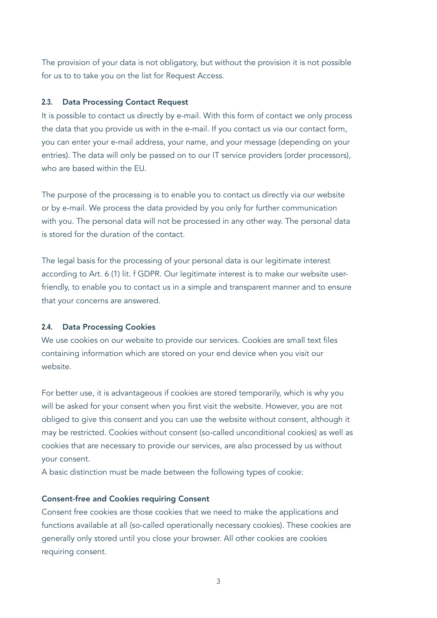The provision of your data is not obligatory, but without the provision it is not possible for us to to take you on the list for Request Access.

#### **2.3.** Data Processing Contact Request

It is possible to contact us directly by e-mail. With this form of contact we only process the data that you provide us with in the e-mail. If you contact us via our contact form, you can enter your e-mail address, your name, and your message (depending on your entries). The data will only be passed on to our IT service providers (order processors), who are based within the EU.

The purpose of the processing is to enable you to contact us directly via our website or by e-mail. We process the data provided by you only for further communication with you. The personal data will not be processed in any other way. The personal data is stored for the duration of the contact.

The legal basis for the processing of your personal data is our legitimate interest according to Art. 6 (1) lit. f GDPR. Our legitimate interest is to make our website userfriendly, to enable you to contact us in a simple and transparent manner and to ensure that your concerns are answered.

#### **2.4.** Data Processing Cookies

We use cookies on our website to provide our services. Cookies are small text files containing information which are stored on your end device when you visit our website.

For better use, it is advantageous if cookies are stored temporarily, which is why you will be asked for your consent when you first visit the website. However, you are not obliged to give this consent and you can use the website without consent, although it may be restricted. Cookies without consent (so-called unconditional cookies) as well as cookies that are necessary to provide our services, are also processed by us without your consent.

A basic distinction must be made between the following types of cookie:

#### Consent-free and Cookies requiring Consent

Consent free cookies are those cookies that we need to make the applications and functions available at all (so-called operationally necessary cookies). These cookies are generally only stored until you close your browser. All other cookies are cookies requiring consent.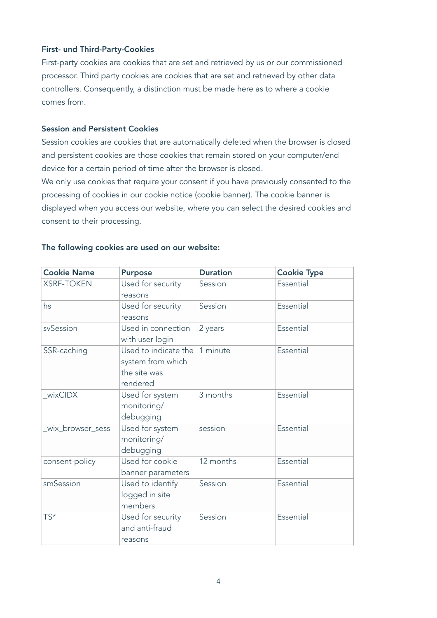#### First- und Third-Party-Cookies

First-party cookies are cookies that are set and retrieved by us or our commissioned processor. Third party cookies are cookies that are set and retrieved by other data controllers. Consequently, a distinction must be made here as to where a cookie comes from.

#### Session and Persistent Cookies

Session cookies are cookies that are automatically deleted when the browser is closed and persistent cookies are those cookies that remain stored on your computer/end device for a certain period of time after the browser is closed.

We only use cookies that require your consent if you have previously consented to the processing of cookies in our cookie notice (cookie banner). The cookie banner is displayed when you access our website, where you can select the desired cookies and consent to their processing.

| <b>Cookie Name</b> | <b>Purpose</b>                                                        | <b>Duration</b> | <b>Cookie Type</b> |
|--------------------|-----------------------------------------------------------------------|-----------------|--------------------|
| <b>XSRF-TOKEN</b>  | Used for security<br>reasons                                          | Session         | Essential          |
| hs                 | Used for security<br>reasons                                          | Session         | Essential          |
| svSession          | Used in connection<br>with user login                                 | 2 years         | Essential          |
| SSR-caching        | Used to indicate the<br>system from which<br>the site was<br>rendered | 1 minute        | Essential          |
| wixCIDX            | Used for system<br>monitoring/<br>debugging                           | 3 months        | Essential          |
| wix_browser_sess   | Used for system<br>monitoring/<br>debugging                           | session         | Essential          |
| consent-policy     | Used for cookie<br>banner parameters                                  | 12 months       | Essential          |
| smSession          | Used to identify<br>logged in site<br>members                         | Session         | Essential          |
| $TS^*$             | Used for security<br>and anti-fraud<br>reasons                        | Session         | Essential          |

#### The following cookies are used on our website: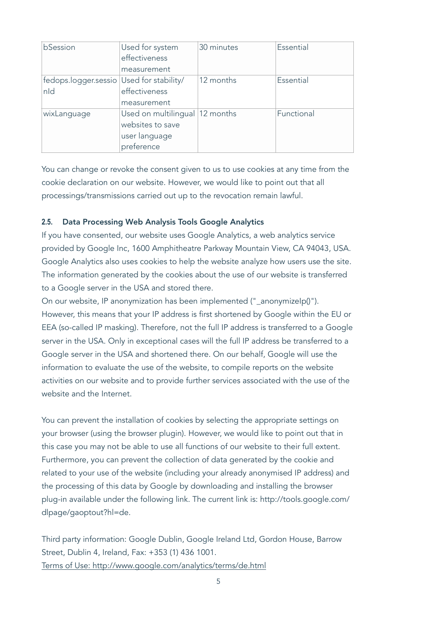| bSession                                        | Used for system<br>effectiveness<br>measurement                                     | 30 minutes | Essential  |
|-------------------------------------------------|-------------------------------------------------------------------------------------|------------|------------|
| fedops.logger.sessio Used for stability/<br>nld | effectiveness<br>measurement                                                        | 12 months  | Essential  |
| wixLanguage                                     | Used on multilingual   12 months<br>websites to save<br>user language<br>preference |            | Functional |

You can change or revoke the consent given to us to use cookies at any time from the cookie declaration on our website. However, we would like to point out that all processings/transmissions carried out up to the revocation remain lawful.

## **2.5.** Data Processing Web Analysis Tools Google Analytics

If you have consented, our website uses Google Analytics, a web analytics service provided by Google Inc, 1600 Amphitheatre Parkway Mountain View, CA 94043, USA. Google Analytics also uses cookies to help the website analyze how users use the site. The information generated by the cookies about the use of our website is transferred to a Google server in the USA and stored there.

On our website, IP anonymization has been implemented ("\_anonymizeIp()"). However, this means that your IP address is first shortened by Google within the EU or EEA (so-called IP masking). Therefore, not the full IP address is transferred to a Google server in the USA. Only in exceptional cases will the full IP address be transferred to a Google server in the USA and shortened there. On our behalf, Google will use the information to evaluate the use of the website, to compile reports on the website activities on our website and to provide further services associated with the use of the website and the Internet

You can prevent the installation of cookies by selecting the appropriate settings on your browser (using the browser plugin). However, we would like to point out that in this case you may not be able to use all functions of our website to their full extent. Furthermore, you can prevent the collection of data generated by the cookie and related to your use of the website (including your already anonymised IP address) and the processing of this data by Google by downloading and installing the browser plug-in available under the following link. The current link is: http://tools.google.com/ dlpage/gaoptout?hl=de.

Third party information: Google Dublin, Google Ireland Ltd, Gordon House, Barrow Street, Dublin 4, Ireland, Fax: +353 (1) 436 1001. Terms of Use: http://www.google.com/analytics/terms/de.html